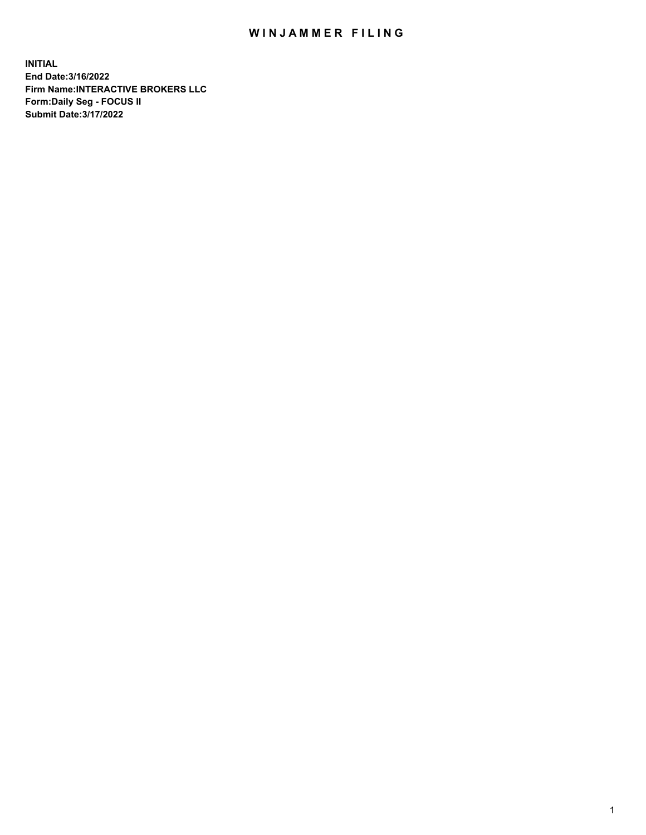## WIN JAMMER FILING

**INITIAL End Date:3/16/2022 Firm Name:INTERACTIVE BROKERS LLC Form:Daily Seg - FOCUS II Submit Date:3/17/2022**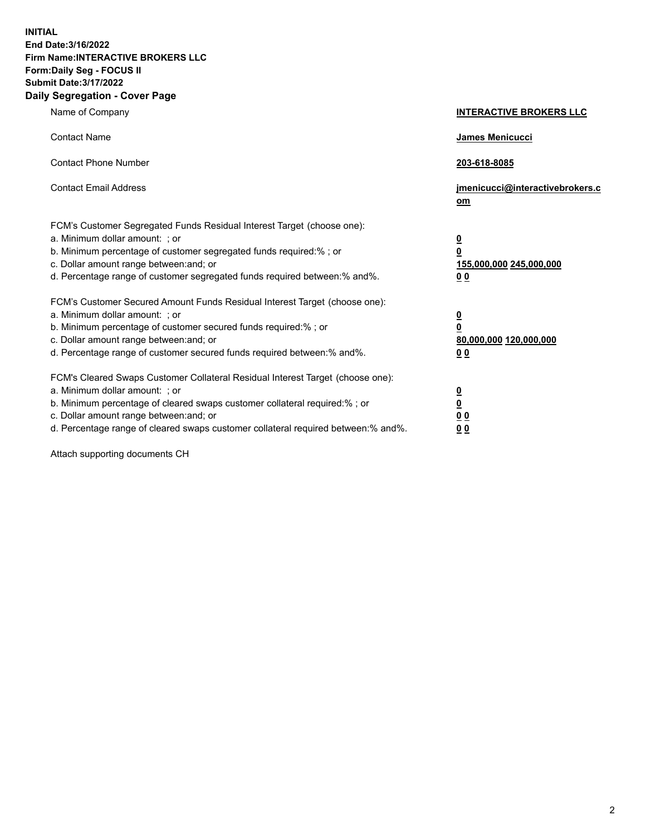**INITIAL End Date:3/16/2022 Firm Name:INTERACTIVE BROKERS LLC Form:Daily Seg - FOCUS II Submit Date:3/17/2022 Daily Segregation - Cover Page**

| Name of Company                                                                                                                                                                                                                                                                                                               | <b>INTERACTIVE BROKERS LLC</b>                                                                  |  |
|-------------------------------------------------------------------------------------------------------------------------------------------------------------------------------------------------------------------------------------------------------------------------------------------------------------------------------|-------------------------------------------------------------------------------------------------|--|
| <b>Contact Name</b>                                                                                                                                                                                                                                                                                                           | James Menicucci                                                                                 |  |
| <b>Contact Phone Number</b>                                                                                                                                                                                                                                                                                                   | 203-618-8085                                                                                    |  |
| <b>Contact Email Address</b>                                                                                                                                                                                                                                                                                                  | jmenicucci@interactivebrokers.c<br>om                                                           |  |
| FCM's Customer Segregated Funds Residual Interest Target (choose one):<br>a. Minimum dollar amount: ; or<br>b. Minimum percentage of customer segregated funds required:% ; or<br>c. Dollar amount range between: and; or<br>d. Percentage range of customer segregated funds required between:% and%.                        | $\overline{\mathbf{0}}$<br>$\overline{\mathbf{0}}$<br>155,000,000 245,000,000<br>0 <sub>0</sub> |  |
| FCM's Customer Secured Amount Funds Residual Interest Target (choose one):<br>a. Minimum dollar amount: ; or<br>b. Minimum percentage of customer secured funds required:% ; or<br>c. Dollar amount range between: and; or<br>d. Percentage range of customer secured funds required between:% and%.                          | <u>0</u><br>$\overline{\mathbf{0}}$<br>80,000,000 120,000,000<br>0 <sub>0</sub>                 |  |
| FCM's Cleared Swaps Customer Collateral Residual Interest Target (choose one):<br>a. Minimum dollar amount: ; or<br>b. Minimum percentage of cleared swaps customer collateral required:%; or<br>c. Dollar amount range between: and; or<br>d. Percentage range of cleared swaps customer collateral required between:% and%. | $\overline{\mathbf{0}}$<br>$\underline{\mathbf{0}}$<br>$\underline{0}$ $\underline{0}$<br>00    |  |

Attach supporting documents CH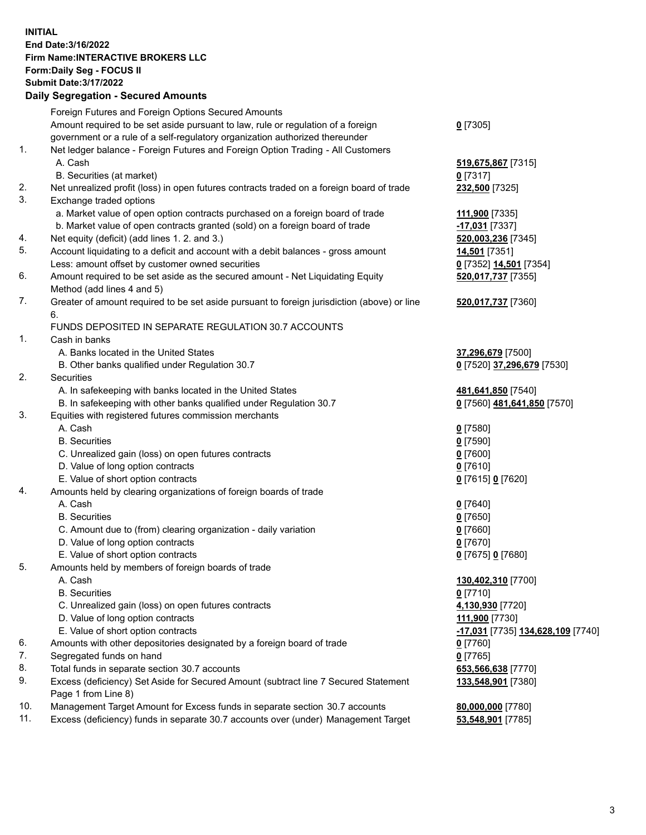**INITIAL End Date:3/16/2022 Firm Name:INTERACTIVE BROKERS LLC Form:Daily Seg - FOCUS II Submit Date:3/17/2022 Daily Segregation - Secured Amounts**

## Foreign Futures and Foreign Options Secured Amounts Amount required to be set aside pursuant to law, rule or regulation of a foreign government or a rule of a self-regulatory organization authorized thereunder **0** [7305] 1. Net ledger balance - Foreign Futures and Foreign Option Trading - All Customers A. Cash **519,675,867** [7315] B. Securities (at market) **0** [7317] 2. Net unrealized profit (loss) in open futures contracts traded on a foreign board of trade **232,500** [7325] 3. Exchange traded options a. Market value of open option contracts purchased on a foreign board of trade **111,900** [7335] b. Market value of open contracts granted (sold) on a foreign board of trade **-17,031** [7337] 4. Net equity (deficit) (add lines 1. 2. and 3.) **520,003,236** [7345] 5. Account liquidating to a deficit and account with a debit balances - gross amount **14,501** [7351] Less: amount offset by customer owned securities **0** [7352] **14,501** [7354] 6. Amount required to be set aside as the secured amount - Net Liquidating Equity Method (add lines 4 and 5) **520,017,737** [7355] 7. Greater of amount required to be set aside pursuant to foreign jurisdiction (above) or line 6. **520,017,737** [7360] FUNDS DEPOSITED IN SEPARATE REGULATION 30.7 ACCOUNTS 1. Cash in banks A. Banks located in the United States **37,296,679** [7500] B. Other banks qualified under Regulation 30.7 **0** [7520] **37,296,679** [7530] 2. Securities A. In safekeeping with banks located in the United States **481,641,850** [7540] B. In safekeeping with other banks qualified under Regulation 30.7 **0** [7560] **481,641,850** [7570] 3. Equities with registered futures commission merchants A. Cash **0** [7580] B. Securities **0** [7590] C. Unrealized gain (loss) on open futures contracts **0** [7600] D. Value of long option contracts **0** [7610] E. Value of short option contracts **0** [7615] **0** [7620] 4. Amounts held by clearing organizations of foreign boards of trade A. Cash **0** [7640] B. Securities **0** [7650] C. Amount due to (from) clearing organization - daily variation **0** [7660] D. Value of long option contracts **0** [7670] E. Value of short option contracts **0** [7675] **0** [7680] 5. Amounts held by members of foreign boards of trade A. Cash **130,402,310** [7700] B. Securities **0** [7710] C. Unrealized gain (loss) on open futures contracts **4,130,930** [7720] D. Value of long option contracts **111,900** [7730] E. Value of short option contracts **-17,031** [7735] **134,628,109** [7740] 6. Amounts with other depositories designated by a foreign board of trade **0** [7760] 7. Segregated funds on hand **0** [7765] 8. Total funds in separate section 30.7 accounts **653,566,638** [7770] 9. Excess (deficiency) Set Aside for Secured Amount (subtract line 7 Secured Statement Page 1 from Line 8) **133,548,901** [7380] 10. Management Target Amount for Excess funds in separate section 30.7 accounts **80,000,000** [7780] 11. Excess (deficiency) funds in separate 30.7 accounts over (under) Management Target **53,548,901** [7785]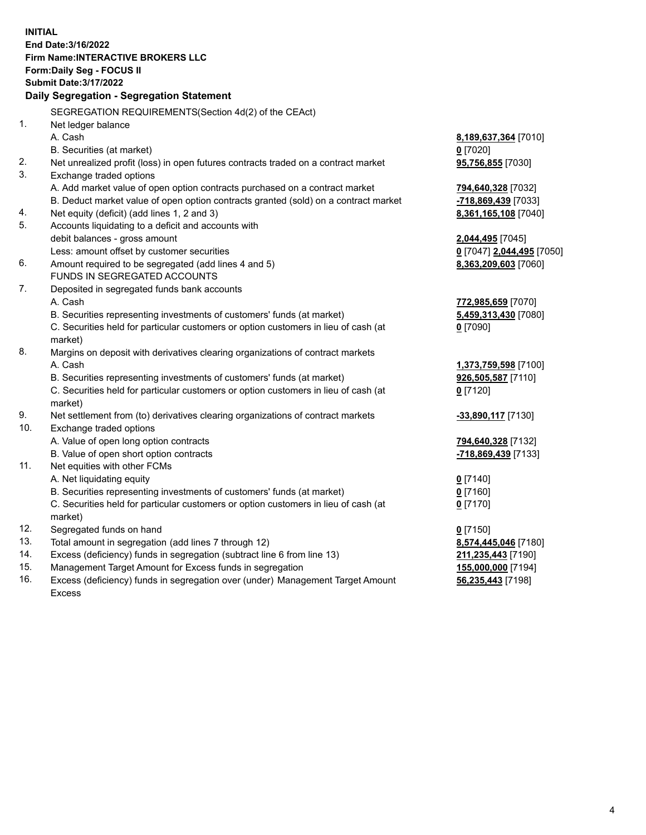**INITIAL End Date:3/16/2022 Firm Name:INTERACTIVE BROKERS LLC Form:Daily Seg - FOCUS II Submit Date:3/17/2022 Daily Segregation - Segregation Statement** SEGREGATION REQUIREMENTS(Section 4d(2) of the CEAct) 1. Net ledger balance A. Cash **8,189,637,364** [7010] B. Securities (at market) **0** [7020] 2. Net unrealized profit (loss) in open futures contracts traded on a contract market **95,756,855** [7030] 3. Exchange traded options A. Add market value of open option contracts purchased on a contract market **794,640,328** [7032] B. Deduct market value of open option contracts granted (sold) on a contract market **-718,869,439** [7033] 4. Net equity (deficit) (add lines 1, 2 and 3) **8,361,165,108** [7040] 5. Accounts liquidating to a deficit and accounts with debit balances - gross amount **2,044,495** [7045] Less: amount offset by customer securities **0** [7047] **2,044,495** [7050] 6. Amount required to be segregated (add lines 4 and 5) **8,363,209,603** [7060] FUNDS IN SEGREGATED ACCOUNTS 7. Deposited in segregated funds bank accounts A. Cash **772,985,659** [7070] B. Securities representing investments of customers' funds (at market) **5,459,313,430** [7080] C. Securities held for particular customers or option customers in lieu of cash (at market) **0** [7090] 8. Margins on deposit with derivatives clearing organizations of contract markets A. Cash **1,373,759,598** [7100] B. Securities representing investments of customers' funds (at market) **926,505,587** [7110] C. Securities held for particular customers or option customers in lieu of cash (at market) **0** [7120] 9. Net settlement from (to) derivatives clearing organizations of contract markets **-33,890,117** [7130] 10. Exchange traded options A. Value of open long option contracts **794,640,328** [7132] B. Value of open short option contracts **-718,869,439** [7133] 11. Net equities with other FCMs A. Net liquidating equity **0** [7140] B. Securities representing investments of customers' funds (at market) **0** [7160] C. Securities held for particular customers or option customers in lieu of cash (at market) **0** [7170] 12. Segregated funds on hand **0** [7150] 13. Total amount in segregation (add lines 7 through 12) **8,574,445,046** [7180] 14. Excess (deficiency) funds in segregation (subtract line 6 from line 13) **211,235,443** [7190] 15. Management Target Amount for Excess funds in segregation **155,000,000** [7194] **56,235,443** [7198]

16. Excess (deficiency) funds in segregation over (under) Management Target Amount Excess